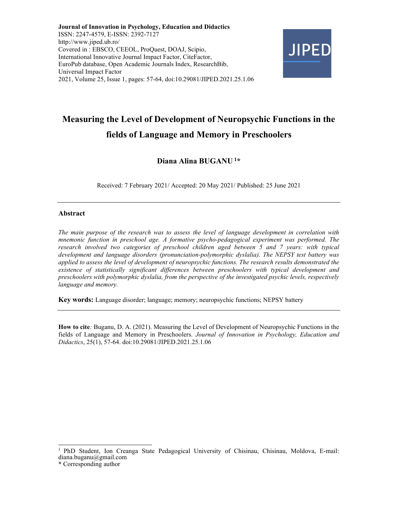Journal of Innovation in Psychology, Education and Didactics ISSN: 2247-4579, E-ISSN: 2392-7127 http://www.jiped.ub.ro/ Covered in : EBSCO, CEEOL, ProQuest, DOAJ, Scipio, International Innovative Journal Impact Factor, CiteFactor, EuroPub database, Open Academic Journals Index, ResearchBib, Universal Impact Factor 2021, Volume 25, Issue 1, pages: 57-64, doi:10.29081/JIPED.2021.25.1.06



# Measuring the Level of Development of Neuropsychic Functions in the fields of Language and Memory in Preschoolers

# Diana Alina BUGANU<sup>1\*</sup>

Received: 7 February 2021/ Accepted: 20 May 2021/ Published: 25 June 2021

### Abstract

The main purpose of the research was to assess the level of language development in correlation with mnemonic function in preschool age. A formative psycho-pedagogical experiment was performed. The research involved two categories of preschool children aged between 5 and 7 years: with typical development and language disorders (pronunciation-polymorphic dyslalia). The NEPSY test battery was applied to assess the level of development of neuropsychic functions. The research results demonstrated the existence of statistically significant differences between preschoolers with typical development and preschoolers with polymorphic dyslalia, from the perspective of the investigated psychic levels, respectively language and memory.

Key words: Language disorder; language; memory; neuropsychic functions; NEPSY battery

How to cite: Buganu, D. A. (2021). Measuring the Level of Development of Neuropsychic Functions in the fields of Language and Memory in Preschoolers. Journal of Innovation in Psychology, Education and Didactics, 25(1), 57-64. doi:10.29081/JIPED.2021.25.1.06

<sup>1</sup>PhD Student, Ion Creanga State Pedagogical University of Chisinau, Chisinau, Moldova, E-mail: diana.buganu@gmail.com

<sup>\*</sup> Corresponding author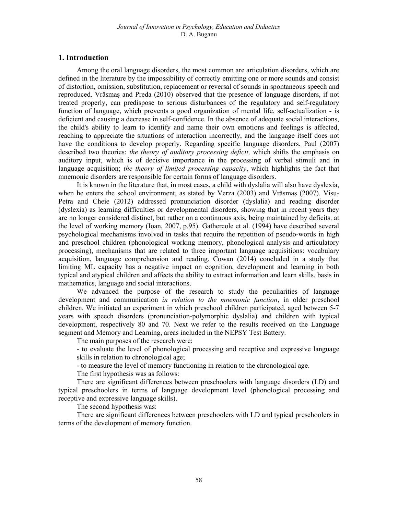# 1. Introduction

Among the oral language disorders, the most common are articulation disorders, which are defined in the literature by the impossibility of correctly emitting one or more sounds and consist of distortion, omission, substitution, replacement or reversal of sounds in spontaneous speech and reproduced. Vrăsmaș and Preda (2010) observed that the presence of language disorders, if not treated properly, can predispose to serious disturbances of the regulatory and self-regulatory function of language, which prevents a good organization of mental life, self-actualization - is deficient and causing a decrease in self-confidence. In the absence of adequate social interactions, the child's ability to learn to identify and name their own emotions and feelings is affected, reaching to appreciate the situations of interaction incorrectly, and the language itself does not have the conditions to develop properly. Regarding specific language disorders, Paul (2007) described two theories: *the theory of auditory processing deficit*, which shifts the emphasis on auditory input, which is of decisive importance in the processing of verbal stimuli and in language acquisition; the theory of limited processing capacity, which highlights the fact that mnemonic disorders are responsible for certain forms of language disorders.

It is known in the literature that, in most cases, a child with dyslalia will also have dyslexia, when he enters the school environment, as stated by Verza (2003) and Vrăsmaș (2007). Visu-Petra and Cheie (2012) addressed pronunciation disorder (dyslalia) and reading disorder (dyslexia) as learning difficulties or developmental disorders, showing that in recent years they are no longer considered distinct, but rather on a continuous axis, being maintained by deficits. at the level of working memory (Ioan, 2007, p.95). Gathercole et al. (1994) have described several psychological mechanisms involved in tasks that require the repetition of pseudo-words in high and preschool children (phonological working memory, phonological analysis and articulatory processing), mechanisms that are related to three important language acquisitions: vocabulary acquisition, language comprehension and reading. Cowan (2014) concluded in a study that limiting ML capacity has a negative impact on cognition, development and learning in both typical and atypical children and affects the ability to extract information and learn skills. basis in mathematics, language and social interactions.

We advanced the purpose of the research to study the peculiarities of language development and communication *in relation to the mnemonic function*, in older preschool children. We initiated an experiment in which preschool children participated, aged between 5-7 years with speech disorders (pronunciation-polymorphic dyslalia) and children with typical development, respectively 80 and 70. Next we refer to the results received on the Language segment and Memory and Learning, areas included in the NEPSY Test Battery.

The main purposes of the research were:

- to evaluate the level of phonological processing and receptive and expressive language skills in relation to chronological age;

- to measure the level of memory functioning in relation to the chronological age.

The first hypothesis was as follows:

There are significant differences between preschoolers with language disorders (LD) and typical preschoolers in terms of language development level (phonological processing and receptive and expressive language skills).

The second hypothesis was:

There are significant differences between preschoolers with LD and typical preschoolers in terms of the development of memory function.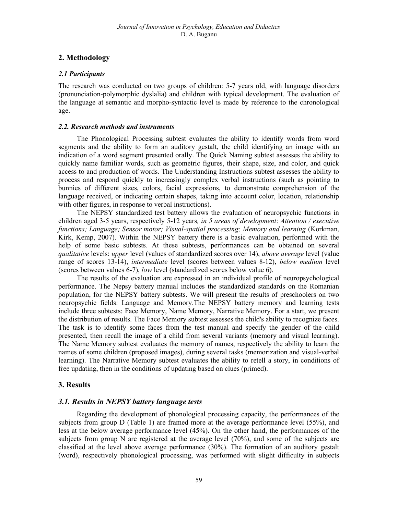# 2. Methodology

# 2.1 Participants

The research was conducted on two groups of children: 5-7 years old, with language disorders (pronunciation-polymorphic dyslalia) and children with typical development. The evaluation of the language at semantic and morpho-syntactic level is made by reference to the chronological age.

# 2.2. Research methods and instruments

The Phonological Processing subtest evaluates the ability to identify words from word segments and the ability to form an auditory gestalt, the child identifying an image with an indication of a word segment presented orally. The Quick Naming subtest assesses the ability to quickly name familiar words, such as geometric figures, their shape, size, and color, and quick access to and production of words. The Understanding Instructions subtest assesses the ability to process and respond quickly to increasingly complex verbal instructions (such as pointing to bunnies of different sizes, colors, facial expressions, to demonstrate comprehension of the language received, or indicating certain shapes, taking into account color, location, relationship with other figures, in response to verbal instructions).

The NEPSY standardized test battery allows the evaluation of neuropsychic functions in children aged 3-5 years, respectively 5-12 years, in 5 areas of development: Attention / executive functions; Language; Sensor motor; Visual-spatial processing; Memory and learning (Korkman, Kirk, Kemp, 2007). Within the NEPSY battery there is a basic evaluation, performed with the help of some basic subtests. At these subtests, performances can be obtained on several qualitative levels: upper level (values of standardized scores over 14), above average level (value range of scores 13-14), intermediate level (scores between values 8-12), below medium level (scores between values 6-7), low level (standardized scores below value 6).

The results of the evaluation are expressed in an individual profile of neuropsychological performance. The Nepsy battery manual includes the standardized standards on the Romanian population, for the NEPSY battery subtests. We will present the results of preschoolers on two neuropsychic fields: Language and Memory.The NEPSY battery memory and learning tests include three subtests: Face Memory, Name Memory, Narrative Memory. For a start, we present the distribution of results. The Face Memory subtest assesses the child's ability to recognize faces. The task is to identify some faces from the test manual and specify the gender of the child presented, then recall the image of a child from several variants (memory and visual learning). The Name Memory subtest evaluates the memory of names, respectively the ability to learn the names of some children (proposed images), during several tasks (memorization and visual-verbal learning). The Narrative Memory subtest evaluates the ability to retell a story, in conditions of free updating, then in the conditions of updating based on clues (primed).

# 3. Results

# 3.1. Results in NEPSY battery language tests

Regarding the development of phonological processing capacity, the performances of the subjects from group D (Table 1) are framed more at the average performance level  $(55%)$ , and less at the below average performance level (45%). On the other hand, the performances of the subjects from group N are registered at the average level (70%), and some of the subjects are classified at the level above average performance (30%). The formation of an auditory gestalt (word), respectively phonological processing, was performed with slight difficulty in subjects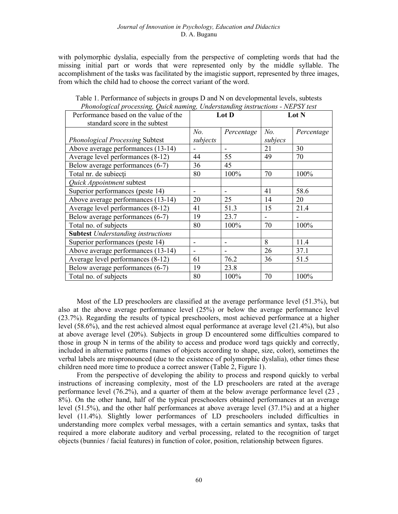with polymorphic dyslalia, especially from the perspective of completing words that had the missing initial part or words that were represented only by the middle syllable. The accomplishment of the tasks was facilitated by the imagistic support, represented by three images, from which the child had to choose the correct variant of the word.

| Performance based on the value of the     | Lot D          |            | Lot N          |            |
|-------------------------------------------|----------------|------------|----------------|------------|
| standard score in the subtest             |                |            |                |            |
|                                           | N <sub>o</sub> | Percentage | No.            | Percentage |
| <b>Phonological Processing Subtest</b>    | subjects       |            | subjecs        |            |
| Above average performances (13-14)        |                | -          | 21             | 30         |
| Average level performances (8-12)         | 44             | 55         | 49             | 70         |
| Below average performances (6-7)          | 36             | 45         |                |            |
| Total nr. de subiecți                     | 80             | 100%       | 70             | 100%       |
| Quick Appointment subtest                 |                |            |                |            |
| Superior performances (peste 14)          |                | -          | 41             | 58.6       |
| Above average performances (13-14)        | 20             | 25         | 14             | 20         |
| Average level performances (8-12)         | 41             | 51.3       | 15             | 21.4       |
| Below average performances (6-7)          | 19             | 23.7       | $\blacksquare$ |            |
| Total no. of subjects                     | 80             | 100%       | 70             | 100%       |
| <b>Subtest</b> Understanding instructions |                |            |                |            |
| Superior performances (peste 14)          |                |            | 8              | 11.4       |
| Above average performances (13-14)        | -              |            | 26             | 37.1       |
| Average level performances (8-12)         | 61             | 76.2       | 36             | 51.5       |
| Below average performances (6-7)          | 19             | 23.8       |                |            |
| Total no. of subjects                     | 80             | 100%       | 70             | 100%       |

Table 1. Performance of subjects in groups D and N on developmental levels, subtests Phonological processing, Quick naming, Understanding instructions - NEPSY test

Most of the LD preschoolers are classified at the average performance level (51.3%), but also at the above average performance level (25%) or below the average performance level (23.7%). Regarding the results of typical preschoolers, most achieved performance at a higher level (58.6%), and the rest achieved almost equal performance at average level (21.4%), but also at above average level (20%). Subjects in group D encountered some difficulties compared to those in group N in terms of the ability to access and produce word tags quickly and correctly, included in alternative patterns (names of objects according to shape, size, color), sometimes the verbal labels are mispronounced (due to the existence of polymorphic dyslalia), other times these children need more time to produce a correct answer (Table 2, Figure 1).

From the perspective of developing the ability to process and respond quickly to verbal instructions of increasing complexity, most of the LD preschoolers are rated at the average performance level (76.2%), and a quarter of them at the below average performance level (23 , 8%). On the other hand, half of the typical preschoolers obtained performances at an average level (51.5%), and the other half performances at above average level (37.1%) and at a higher level (11.4%). Slightly lower performances of LD preschoolers included difficulties in understanding more complex verbal messages, with a certain semantics and syntax, tasks that required a more elaborate auditory and verbal processing, related to the recognition of target objects (bunnies / facial features) in function of color, position, relationship between figures.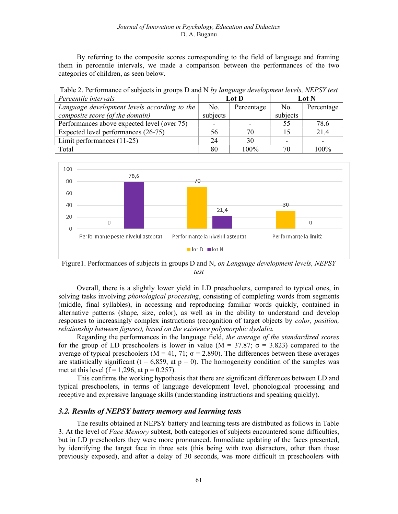By referring to the composite scores corresponding to the field of language and framing them in percentile intervals, we made a comparison between the performances of the two categories of children, as seen below.

| Percentile intervals                         | Lot D    |            | Lot N    |            |
|----------------------------------------------|----------|------------|----------|------------|
| Language development levels according to the | No.      | Percentage | No.      | Percentage |
| composite score (of the domain)              | subjects |            | subjects |            |
| Performances above expected level (over 75)  |          |            | 55       | 78.6       |
| Expected level performances (26-75)          | 56       | 70         | 15       | 21.4       |
| Limit performances $(11-25)$                 | 24       | 30         |          |            |
| Total                                        |          | $100\%$    |          | 100%       |

Table 2. Performance of subjects in groups D and N by language development levels, NEPSY test



Figure1. Performances of subjects in groups D and N, on Language development levels, NEPSY test

Overall, there is a slightly lower yield in LD preschoolers, compared to typical ones, in solving tasks involving *phonological processing*, consisting of completing words from segments (middle, final syllables), in accessing and reproducing familiar words quickly, contained in alternative patterns (shape, size, color), as well as in the ability to understand and develop responses to increasingly complex instructions (recognition of target objects by *color, position,* relationship between figures), based on the existence polymorphic dyslalia.

Regarding the performances in the language field, the average of the standardized scores for the group of LD preschoolers is lower in value (M = 37.87;  $\sigma$  = 3.823) compared to the average of typical preschoolers ( $M = 41, 71$ ;  $\sigma = 2.890$ ). The differences between these averages are statistically significant (t = 6,859, at  $p = 0$ ). The homogeneity condition of the samples was met at this level ( $f = 1,296$ , at  $p = 0.257$ ).

This confirms the working hypothesis that there are significant differences between LD and typical preschoolers, in terms of language development level, phonological processing and receptive and expressive language skills (understanding instructions and speaking quickly).

#### 3.2. Results of NEPSY battery memory and learning tests

The results obtained at NEPSY battery and learning tests are distributed as follows in Table 3. At the level of *Face Memory* subtest, both categories of subjects encountered some difficulties, but in LD preschoolers they were more pronounced. Immediate updating of the faces presented, by identifying the target face in three sets (this being with two distractors, other than those previously exposed), and after a delay of 30 seconds, was more difficult in preschoolers with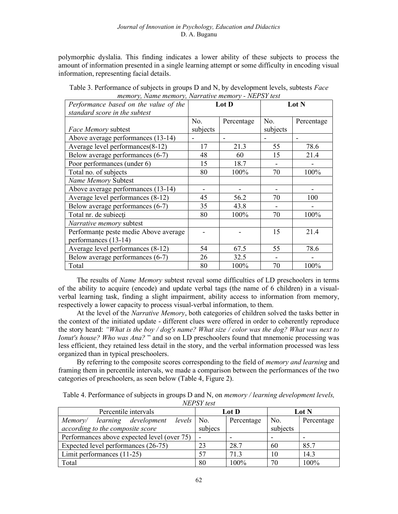#### Journal of Innovation in Psychology, Education and Didactics D. A. Buganu

polymorphic dyslalia. This finding indicates a lower ability of these subjects to process the amount of information presented in a single learning attempt or some difficulty in encoding visual information, representing facial details.

| Performance based on the value of the<br>standard score in the subtest | Lot D    |                          | Lot N    |            |
|------------------------------------------------------------------------|----------|--------------------------|----------|------------|
|                                                                        | No.      | Percentage               | No.      | Percentage |
| Face Memory subtest                                                    | subjects |                          | subjects |            |
| Above average performances (13-14)                                     |          | $\overline{\phantom{a}}$ |          |            |
| Average level performances(8-12)                                       | 17       | 21.3                     | 55       | 78.6       |
| Below average performances (6-7)                                       | 48       | 60                       | 15       | 21.4       |
| Poor performances (under 6)                                            | 15       | 18.7                     |          |            |
| Total no. of subjects                                                  | 80       | 100%                     | 70       | 100%       |
| Name Memory Subtest                                                    |          |                          |          |            |
| Above average performances (13-14)                                     |          |                          |          |            |
| Average level performances (8-12)                                      | 45       | 56.2                     | 70       | 100        |
| Below average performances (6-7)                                       | 35       | 43.8                     |          |            |
| Total nr. de subiecți                                                  | 80       | 100%                     | 70       | 100%       |
| Narrative memory subtest                                               |          |                          |          |            |
| Performanțe peste medie Above average                                  |          |                          | 15       | 21.4       |
| performances (13-14)                                                   |          |                          |          |            |
| Average level performances (8-12)                                      | 54       | 67.5                     | 55       | 78.6       |
| Below average performances (6-7)                                       | 26       | 32.5                     |          |            |
| Total                                                                  | 80       | 100%                     | 70       | 100%       |

Table 3. Performance of subjects in groups D and N, by development levels, subtests Face memory, Name memory, Narrative memory - NEPSY test

The results of Name Memory subtest reveal some difficulties of LD preschoolers in terms of the ability to acquire (encode) and update verbal tags (the name of 6 children) in a visualverbal learning task, finding a slight impairment, ability access to information from memory, respectively a lower capacity to process visual-verbal information, to them.

At the level of the *Narrative Memory*, both categories of children solved the tasks better in the context of the initiated update - different clues were offered in order to coherently reproduce the story heard: "What is the boy / dog's name? What size / color was the dog? What was next to Ionut's house? Who was Ana? " and so on LD preschoolers found that mnemonic processing was less efficient, they retained less detail in the story, and the verbal information processed was less organized than in typical preschoolers.

By referring to the composite scores corresponding to the field of *memory and learning* and framing them in percentile intervals, we made a comparison between the performances of the two categories of preschoolers, as seen below (Table 4, Figure 2).

Table 4. Performance of subjects in groups D and N, on *memory / learning development levels*, NEPSY test

| Percentile intervals                             | Lot D   |            | Lot N    |            |
|--------------------------------------------------|---------|------------|----------|------------|
| $levels^{-1}$<br>learning development<br>Memory/ | No.     | Percentage | No.      | Percentage |
| according to the composite score                 | subjecs |            | subjects |            |
| Performances above expected level (over 75)      |         |            |          |            |
| Expected level performances (26-75)              | 23      | 28.7       | 60       | 85.7       |
| Limit performances $(11-25)$                     | 57      | 71.3       | 10       | 14.3       |
| Total                                            | 80      | $100\%$    | 70       | $100\%$    |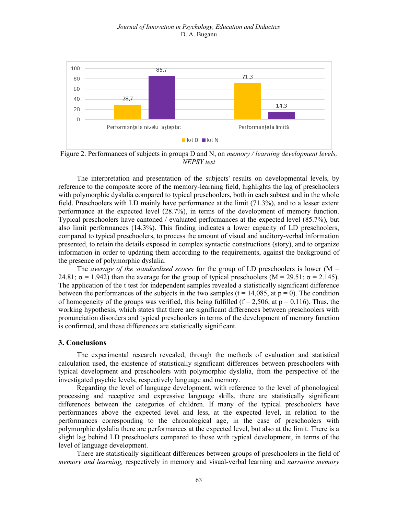

Figure 2. Performances of subjects in groups D and N, on *memory / learning development levels*, NEPSY test

The interpretation and presentation of the subjects' results on developmental levels, by reference to the composite score of the memory-learning field, highlights the lag of preschoolers with polymorphic dyslalia compared to typical preschoolers, both in each subtest and in the whole field. Preschoolers with LD mainly have performance at the limit (71.3%), and to a lesser extent performance at the expected level (28.7%), in terms of the development of memory function. Typical preschoolers have cantoned / evaluated performances at the expected level (85.7%), but also limit performances (14.3%). This finding indicates a lower capacity of LD preschoolers, compared to typical preschoolers, to process the amount of visual and auditory-verbal information presented, to retain the details exposed in complex syntactic constructions (story), and to organize information in order to updating them according to the requirements, against the background of the presence of polymorphic dyslalia.

The average of the standardized scores for the group of LD preschoolers is lower ( $M =$ 24.81;  $\sigma$  = 1.942) than the average for the group of typical preschoolers (M = 29.51;  $\sigma$  = 2.145). The application of the t test for independent samples revealed a statistically significant difference between the performances of the subjects in the two samples ( $t = 14,085$ , at  $p = 0$ ). The condition of homogeneity of the groups was verified, this being fulfilled ( $f = 2.506$ , at  $p = 0.116$ ). Thus, the working hypothesis, which states that there are significant differences between preschoolers with pronunciation disorders and typical preschoolers in terms of the development of memory function is confirmed, and these differences are statistically significant.

### 3. Conclusions

The experimental research revealed, through the methods of evaluation and statistical calculation used, the existence of statistically significant differences between preschoolers with typical development and preschoolers with polymorphic dyslalia, from the perspective of the investigated psychic levels, respectively language and memory.

Regarding the level of language development, with reference to the level of phonological processing and receptive and expressive language skills, there are statistically significant differences between the categories of children. If many of the typical preschoolers have performances above the expected level and less, at the expected level, in relation to the performances corresponding to the chronological age, in the case of preschoolers with polymorphic dyslalia there are performances at the expected level, but also at the limit. There is a slight lag behind LD preschoolers compared to those with typical development, in terms of the level of language development.

There are statistically significant differences between groups of preschoolers in the field of memory and learning, respectively in memory and visual-verbal learning and narrative memory